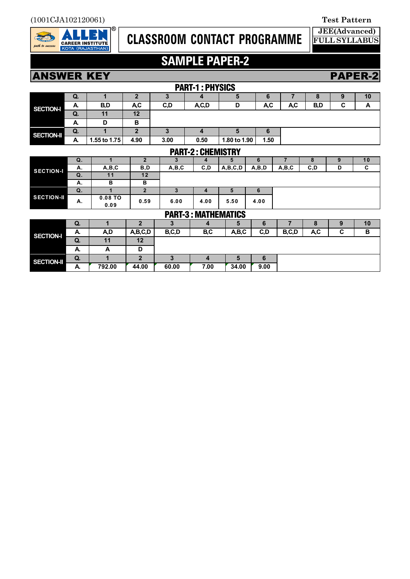

## **CLASSROOM CONTACT PROGRAMME**

## **SAMPLE PAPER-2**

### **ANSWER KEY PAPER-2**

| <b>PART-1: PHYSICS</b>     |    |                      |                |         |                         |              |       |                |      |   |    |
|----------------------------|----|----------------------|----------------|---------|-------------------------|--------------|-------|----------------|------|---|----|
| <b>SECTION-I</b>           | Q. | 1                    | $\overline{2}$ | 3       | 4                       | 5            | 6     | $\overline{7}$ | 8    | 9 | 10 |
|                            | A. | B,D                  | A,C            | C,D     | A,C,D                   | D            | A,C   | A,C            | B,D  | C | A  |
|                            | Q. | 11                   | 12             |         |                         |              |       |                |      |   |    |
|                            | A. | D                    | B              |         |                         |              |       |                |      |   |    |
| <b>SECTION-II</b>          | Q. | 1                    | $\overline{2}$ | 3       | 4                       | 5            | 6     |                |      |   |    |
|                            | A. | 1.55 to 1.75         | 4.90           | 3.00    | 0.50                    | 1.80 to 1.90 | 1.50  |                |      |   |    |
| <b>PART-2: CHEMISTRY</b>   |    |                      |                |         |                         |              |       |                |      |   |    |
| <b>SECTION-I</b>           | Q. | $\blacktriangleleft$ | $\overline{2}$ | 3       | 4                       | 5            | 6     | $\overline{7}$ | 8    | 9 | 10 |
|                            | А. | A,B,C                | B, D           | A, B, C | C, D                    | A,B,C,D      | A,B,D | A,B,C          | C, D | D | C  |
|                            | Q. | 11                   | 12             |         |                         |              |       |                |      |   |    |
|                            | А. | в                    | B              |         |                         |              |       |                |      |   |    |
| <b>SECTION-II</b>          | Q. | $\blacktriangleleft$ | $\overline{2}$ | 3       | 4                       | 5            | 6     |                |      |   |    |
|                            | А. | 0.08 TO<br>0.09      | 0.59           | 6.00    | 4.00                    | 5.50         | 4.00  |                |      |   |    |
| <b>PART-3: MATHEMATICS</b> |    |                      |                |         |                         |              |       |                |      |   |    |
| <b>SECTION-I</b>           | Q. | 1                    | $\overline{2}$ | 3       | 4                       | 5            | 6     | $\overline{7}$ | 8    | 9 | 10 |
|                            | А. | A,D                  | A,B,C,D        | B,C,D   | B,C                     | A,B,C        | C, D  | B,C,D          | A,C  | C | B  |
|                            | Q. | 11                   | 12             |         |                         |              |       |                |      |   |    |
|                            | А. | A                    | D              |         |                         |              |       |                |      |   |    |
| <b>SECTION-II</b>          | Q. | 1                    | $\overline{2}$ | 3       | $\overline{\mathbf{4}}$ | 5            | 6     |                |      |   |    |
|                            | А. | 792.00               | 44.00          | 60.00   | 7.00                    | 34.00        | 9.00  |                |      |   |    |

**FULL SYLLABUS**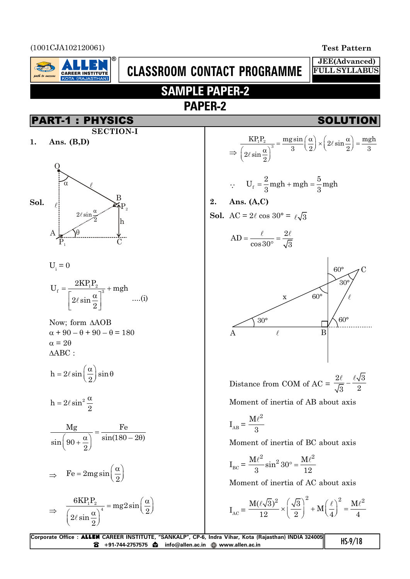(1001CJA102120061) **Test Pattern**

rath to success

**CAREER INSTITUTE** 

**JEE(Advanced) FULL SYLLABUS**

## **CLASSROOM CONTACT PROGRAMME SAMPLE PAPER-2**

**PAPER-2**



$$
h=2\ell\sin\biggl(\frac{\alpha}{2}\biggr)\sin\theta
$$

 $h = 2\ell \sin^2{\frac{\alpha}{2}}$ 2

$$
\frac{Mg}{\sin\left(90 + \frac{\alpha}{2}\right)} = \frac{Fe}{\sin(180 - 2\theta)}
$$

$$
\Rightarrow \quad \text{Fe} = 2 \,\text{mg} \sin\left(\frac{\alpha}{2}\right)
$$

$$
\Rightarrow \frac{6KP_1P_2}{\left(2\ell\sin\frac{\alpha}{2}\right)^4} = mg2\sin\left(\frac{\alpha}{2}\right)
$$

$$
\Rightarrow \frac{\text{KP}_1\text{P}_2}{\left(2\ell\sin\frac{\alpha}{2}\right)^3} = \frac{\text{mg}\sin}{3}\left(\frac{\alpha}{2}\right) \times \left(2\ell\sin\frac{\alpha}{2}\right) = \frac{\text{mgh}}{3}
$$

$$
\therefore \qquad U_f = \frac{2}{3} mgh + mgh = \frac{5}{3} mgh
$$

 $\ell \quad 2\ell$ 

**2. Ans. (A,C)**

**Sol.** AC = 
$$
2\ell \cos 30^\circ = \ell \sqrt{3}
$$



Distance from COM of AC = 
$$
\frac{2\ell}{\sqrt{3}} - \frac{\ell\sqrt{3}}{2}
$$

Moment of inertia of AB about axis

$$
I_{AB} = \frac{M\ell^2}{3}
$$

Moment of inertia of BC about axis

$$
I_{BC}=\frac{M\ell^2}{3}\sin^2 30^\circ=\frac{M\ell^2}{12}
$$

Moment of inertia of AC about axis

$$
I_{AC} = \frac{M(\ell\sqrt{3})^2}{12} \times \left(\frac{\sqrt{3}}{2}\right)^2 + M\left(\frac{\ell}{4}\right)^2 = \frac{M\ell^2}{4}
$$

| Corporate Office : ALLEN CAREER INSTITUTE, "SANKALP", CP-6, Indra Vihar, Kota (Rajasthan) INDIA 324005 | $HS-9/18$ |
|--------------------------------------------------------------------------------------------------------|-----------|
|                                                                                                        |           |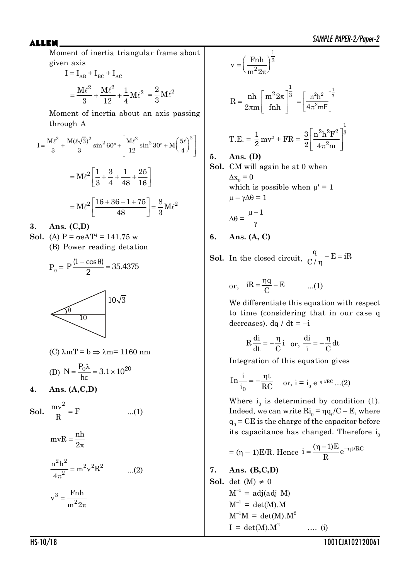Moment of inertia triangular frame about given axis

$$
I = I_{AB} + I_{BC} + I_{AC}
$$
  
=  $\frac{M\ell^2}{3} + \frac{M\ell^2}{12} + \frac{1}{4}M\ell^2 = \frac{2}{3}M\ell^2$ 

Moment of inertia about an axis passing through A

$$
I = \frac{M\ell^2}{3} + \frac{M(\ell\sqrt{3})^2}{3}\sin^2 60^\circ + \left[\frac{M\ell^2}{12}\sin^2 30^\circ + M\left(\frac{5\ell}{4}\right)^2\right]
$$

$$
= M\ell^2 \left[\frac{1}{3} + \frac{3}{4} + \frac{1}{48} + \frac{25}{16}\right]
$$

$$
= M\ell^2 \left[\frac{16 + 36 + 1 + 75}{48}\right] = \frac{8}{3}M\ell^2
$$

**3. Ans. (C,D)**

- **Sol.** (A)  $P = \sigma e A T^4 = 141.75$  w
	- (B) Power reading detation

$$
P_0 = P \frac{(1 - \cos \theta)}{2} = 35.4375
$$



(C) 
$$
\lambda mT = b \Rightarrow \lambda m = 1160 \text{ nm}
$$
  
(D)  $N = \frac{P_0 \lambda}{hc} = 3.1 \times 10^{20}$ 

**4. Ans. (A,C,D)**

**Sol.** 
$$
\frac{mv^2}{R} = F
$$
 ...(1)

$$
mvR = \frac{nh}{2\pi}
$$

$$
\frac{n^2h^2}{4\pi^2} = m^2v^2R^2 \qquad ...(2)
$$

$$
v^3 = \frac{Fnh}{m^2 2\pi}
$$

$$
v = \left(\frac{\text{Fnh}}{\text{m}^2 2\pi}\right)^{\frac{1}{3}}
$$
  
\n
$$
R = \frac{\text{nh}}{2\pi \text{m}} \left[\frac{\text{m}^2 2\pi}{\text{fnh}}\right]^{\frac{1}{3}} = \left[\frac{\text{n}^2 \text{h}^2}{4\pi^2 \text{m}^2}\right]^{\frac{1}{3}}
$$
  
\nT.E. =  $\frac{1}{2}$ mv<sup>2</sup> + FR =  $\frac{3}{2} \left[\frac{\text{n}^2 \text{h}^2 \text{F}^2}{4\pi^2 \text{m}}\right]^{\frac{1}{3}}$   
\n5. Ans. (D)  
\nSol. CM will again be at 0 when

 $\Delta x_0 = 0$ which is possible when  $\mu' = 1$  $\mu - \gamma \Delta \theta = 1$ 

$$
\Delta\theta = \frac{\mu - 1}{\gamma}
$$

**5. Ans. (D)**

**6. Ans. (A, C)**

**Sol.** In the closed circuit,  $\frac{q}{l}$  – E = iR  $C/$  $-E = \frac{1}{2}$  $\eta$ 

or, 
$$
iR = \frac{\eta q}{C} - E
$$
 ...(1)

We differentiate this equation with respect to time (considering that in our case q decreases). dq / dt =  $-i$ 

$$
R\frac{di}{dt} = -\frac{\eta}{C}i \quad or, \quad \frac{di}{i} = -\frac{\eta}{C}dt
$$

Integration of this equation gives

$$
\text{In } \frac{i}{i_0} = -\frac{\eta t}{RC} \quad \text{or, } i = i_0 e^{-\eta t/RC} \dots (2)
$$

Where  $i_0$  is determined by condition (1). Indeed, we can write  $\mathrm{Ri}_{0} = \eta \mathrm{q}_{0} / \mathrm{C} - \mathrm{E}$ , where  $q_0$  = CE is the charge of the capacitor before its capacitance has changed. Therefore  $i_0$ 

$$
= (\eta - 1)E/R. \text{ Hence } i = \frac{(\eta - 1)E}{R} e^{-\eta t/RC}
$$

7. **Ans. (B,C,D)**  
\n**Sol.** det (M) 
$$
\neq 0
$$
  
\nM<sup>-1</sup> = adj(adj M)  
\nM<sup>-1</sup> = det(M).M  
\nM<sup>-1</sup>M = det(M).M<sup>2</sup>  
\nI = det(M).M<sup>2</sup> .... (i)

HS-10/18 1001CJA102120061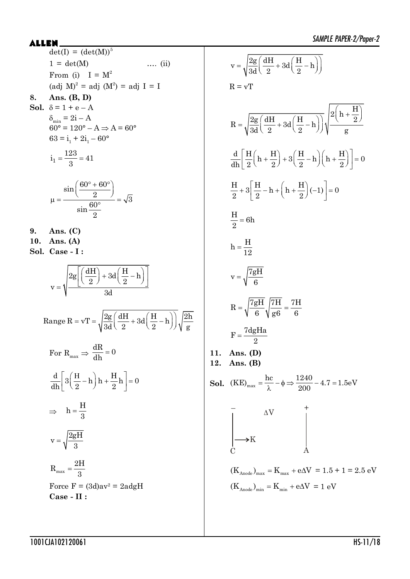| ALLEN ___ |                                                                                                                     |  |  |  |  |
|-----------|---------------------------------------------------------------------------------------------------------------------|--|--|--|--|
|           | $\det(I) = (\det(M))^5$                                                                                             |  |  |  |  |
|           | $1 = det(M)$<br>$\ldots$ (ii)                                                                                       |  |  |  |  |
|           | From (i) $I = M^2$                                                                                                  |  |  |  |  |
|           | $\text{(adj } M)^2 = \text{adj } (M^2) = \text{adj } I = I$                                                         |  |  |  |  |
| 8.        | Ans. $(B, D)$                                                                                                       |  |  |  |  |
|           | Sol. $\delta = 1 + e - A$                                                                                           |  |  |  |  |
|           | $\delta_{\min} = 2i - A$<br>$60^\circ = 120^\circ - A \Rightarrow A = 60^\circ$                                     |  |  |  |  |
|           | $63 = i_1 + 2i_1 - 60^{\circ}$                                                                                      |  |  |  |  |
|           |                                                                                                                     |  |  |  |  |
|           | $i_1 = \frac{123}{3} = 41$                                                                                          |  |  |  |  |
|           |                                                                                                                     |  |  |  |  |
|           |                                                                                                                     |  |  |  |  |
|           | $\mu = \frac{\sin\left(\frac{60^\circ + 60^\circ}{2}\right)}{\sin\frac{60^\circ}{2}} = \sqrt{3}$                    |  |  |  |  |
|           |                                                                                                                     |  |  |  |  |
|           |                                                                                                                     |  |  |  |  |
| 9.        | Ans. $(C)$                                                                                                          |  |  |  |  |
|           | 10. Ans. (A)                                                                                                        |  |  |  |  |
|           | Sol. Case - I:                                                                                                      |  |  |  |  |
|           |                                                                                                                     |  |  |  |  |
|           | $v = \sqrt{\frac{2g\left[\left(\frac{dH}{2}\right) + 3d\left(\frac{H}{2} - h\right)\right]}{2d}}$                   |  |  |  |  |
|           |                                                                                                                     |  |  |  |  |
|           |                                                                                                                     |  |  |  |  |
|           |                                                                                                                     |  |  |  |  |
|           | Range R = vT = $\sqrt{\frac{2g}{3d} \left(\frac{dH}{2} + 3d\left(\frac{H}{2} - h\right)\right)\sqrt{\frac{2h}{g}}}$ |  |  |  |  |
|           |                                                                                                                     |  |  |  |  |
|           | For $R_{max} \Rightarrow \frac{dR}{dh} = 0$                                                                         |  |  |  |  |
|           |                                                                                                                     |  |  |  |  |
|           | $\frac{d}{dh} 3\left(\frac{H}{2} - h\right)h + \frac{H}{2}h = 0$                                                    |  |  |  |  |
|           |                                                                                                                     |  |  |  |  |
|           |                                                                                                                     |  |  |  |  |
|           | $\Rightarrow$ h= $\frac{H}{3}$                                                                                      |  |  |  |  |
|           |                                                                                                                     |  |  |  |  |
|           | $v = \sqrt{\frac{2gH}{3}}$                                                                                          |  |  |  |  |
|           |                                                                                                                     |  |  |  |  |
|           | $R_{max} = \frac{2H}{3}$                                                                                            |  |  |  |  |
|           | Force $F = (3d)av^2 = 2adgH$                                                                                        |  |  |  |  |
|           | $\bf Case$ - $\bf II$ :                                                                                             |  |  |  |  |
|           |                                                                                                                     |  |  |  |  |

$$
v = \sqrt{\frac{2g}{3d} \left(\frac{dH}{2} + 3d\left(\frac{H}{2} - h\right)\right)}
$$
  
\n
$$
R = vT
$$
  
\n
$$
R = \sqrt{\frac{2g}{3d} \left(\frac{dH}{2} + 3d\left(\frac{H}{2} - h\right)\right)} \sqrt{\frac{2\left(h + \frac{H}{2}\right)}{g}}
$$
  
\n
$$
\frac{d}{dh} \left[\frac{H}{2}\left(h + \frac{H}{2}\right) + 3\left(\frac{H}{2} - h\right)\left(h + \frac{H}{2}\right)\right] = 0
$$
  
\n
$$
\frac{H}{2} + 3\left[\frac{H}{2} - h + \left(h + \frac{H}{2}\right)(-1)\right] = 0
$$
  
\n
$$
\frac{H}{2} = 6h
$$
  
\n
$$
h = \frac{H}{12}
$$
  
\n
$$
v = \sqrt{\frac{7gH}{6}}
$$
  
\n
$$
R = \sqrt{\frac{7gH}{6}} \sqrt{\frac{7H}{g6}} = \frac{7H}{6}
$$
  
\n
$$
F = \frac{7dgHa}{2}
$$
  
\n11. Ans. (B)  
\nSoI. (KE)<sub>max</sub> =  $\frac{hc}{\lambda} - \phi \Rightarrow \frac{1240}{200} - 4.7 = 1.5eV$   
\n
$$
\frac{dV}{d\lambda_{\text{node}}}
$$
  
\n
$$
K_{\text{Mode}} = K_{\text{max}} + e\Delta V = 1.5 + 1 = 2.5 eV
$$
  
\n(K<sub>Mode</sub>)<sub>min</sub> = K<sub>min</sub> + e\Delta V = 1 eV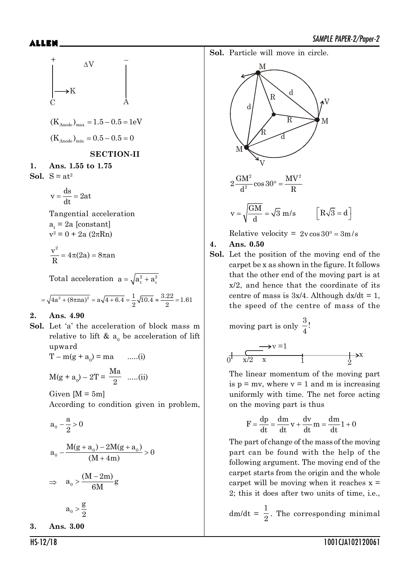$$
+ \Delta V
$$
\nC\n
$$
+ \Delta V
$$
\nC\n
$$
+ \Delta V
$$
\nC\n
$$
+ \Delta V
$$
\nC\n
$$
+ \Delta V
$$
\nC\n
$$
+ \Delta V
$$
\nC\n
$$
+ \Delta V
$$
\nC\n
$$
+ \Delta V
$$
\nC\n
$$
+ \Delta V
$$
\nC\n
$$
+ \Delta V
$$
\nC\n
$$
+ \Delta V
$$
\nC\n
$$
+ \Delta V
$$
\nC\n
$$
+ \Delta V
$$
\nC\n
$$
+ \Delta V
$$
\nC\n
$$
+ \Delta V
$$
\nC\n
$$
+ \Delta V
$$
\nC\n
$$
+ \Delta V
$$
\nC\n
$$
+ \Delta V
$$
\nC\n
$$
+ \Delta V
$$
\nC\n
$$
+ \Delta V
$$
\nC\n
$$
+ \Delta V
$$
\nC\n
$$
+ \Delta V
$$
\nC\n
$$
+ \Delta V
$$
\nC\n
$$
+ \Delta V
$$
\nC\n
$$
+ \Delta V
$$
\nC\n
$$
+ \Delta V
$$
\nC\n
$$
+ \Delta V
$$
\nC\n
$$
+ \Delta V
$$
\nC\n
$$
+ \Delta V
$$
\nC\n
$$
+ \Delta V
$$
\nC\n
$$
+ \Delta V
$$
\nC\n
$$
+ \Delta V
$$
\nC\n
$$
+ \Delta V
$$
\nC\n
$$
+ \Delta V
$$
\nC\n
$$
+ \Delta V
$$
\nC\n
$$
+ \Delta V
$$
\nC\n
$$
+ \Delta V
$$
\nC\n
$$
+ \Delta V
$$
\nC\n
$$
+ \Delta V
$$
\nC\n
$$
+ \Delta V
$$
\nC\n
$$
+ \Delta V
$$
\nC\n
$$
+ \Delta V
$$
\nC\n
$$
+ \Delta V
$$
\nC\n
$$
+ \Delta V
$$
\nC\n
$$
+ \Delta V
$$
\nC\n
$$
+ \Delta V
$$
\nC\n
$$
+ \Delta V
$$
\nC\n
$$
+ \Delta V
$$

**1. Ans. 1.55 to 1.75 Sol.**  $S = at^2$ 

$$
v = \frac{ds}{dt} = 2at
$$

Tangential acceleration  $a_t = 2a$  [constant]  $v^2 = 0 + 2a (2\pi Rn)$ 

$$
\frac{v^2}{R} = 4\pi(2a) = 8\pi a n
$$

Total acceleration  $a = \sqrt{a_t^2 + a_c^2}$ 

$$
= \sqrt{4a^2 + (8\pi a)^2} = a\sqrt{4 + 6.4} = \frac{1}{2}\sqrt{10.4} \approx \frac{3.22}{2} = 1.61
$$

### **2. Ans. 4.90**

**Sol.** Let 'a' the acceleration of block mass m relative to lift  $\&$  a<sub>0</sub> be acceleration of lift upward

 $T - m(g + a_0) = ma$  .....(i)

$$
M(g + a_0) - 2T = \frac{Ma}{2}
$$
 ....(ii)

Given  $[M = 5m]$ 

According to condition given in problem,

$$
a_0 - \frac{a}{2} > 0
$$
  
\n
$$
a_0 - \frac{M(g + a_0) - 2M(g + a_0)}{(M + 4m)} > 0
$$
  
\n
$$
\Rightarrow a_0 > \frac{(M - 2m)}{6M}g
$$
  
\n
$$
a_0 > \frac{g}{2}
$$

**3. Ans. 3.00**

**Sol.** Particle will move in circle.



$$
2\frac{GM^2}{d^2}\cos 30^\circ = \frac{MV^2}{R}
$$

$$
v = \sqrt{\frac{GM}{d}} = \sqrt{3} \, m/s \qquad \left[ R\sqrt{3} = d \right]
$$

Relative velocity =  $2v \cos 30^\circ = 3m/s$ 

### **4. Ans. 0.50**

**Sol.** Let the position of the moving end of the carpet be x as shown in the figure. It follows that the other end of the moving part is at x/2, and hence that the coordinate of its centre of mass is  $3x/4$ . Although  $dx/dt = 1$ , the speed of the centre of mass of the

moving part is only 
$$
\frac{3}{4}
$$
!

$$
\begin{array}{ccc}\n & \rightarrow & v = 1 \\
0 & x/2 & x & 1\n\end{array}
$$

The linear momentum of the moving part is  $p = mv$ , where  $v = 1$  and m is increasing uniformly with time. The net force acting on the moving part is thus

$$
F = \frac{dp}{dt} = \frac{dm}{dt}v + \frac{dv}{dt}m = \frac{dm}{dt}1 + 0
$$

The part of change of the mass of the moving part can be found with the help of the following argument. The moving end of the carpet starts from the origin and the whole carpet will be moving when it reaches  $x =$ 2; this it does after two units of time, i.e.,

 $dm/dt =$ 1  $\frac{1}{2}$ . The corresponding minimal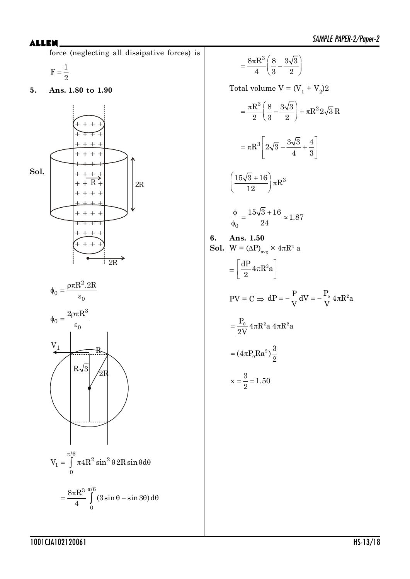force (neglecting all dissipative forces) is

$$
F = \frac{1}{2}
$$

**5. Ans. 1.80 to 1.90**





$$
=\frac{8\pi R^3}{4}\int\limits_{0}^{\pi/6}(3\sin\theta-\sin3\theta)\,d\theta
$$

$$
=\frac{8\pi R^3}{4}\left(\frac{8}{3}-\frac{3\sqrt{3}}{2}\right)
$$

Total volume  $V = (V_1 + V_2)2$ 

$$
= \frac{\pi R^3}{2} \left( \frac{8}{3} - \frac{3\sqrt{3}}{2} \right) + \pi R^2 2\sqrt{3} R
$$

$$
= \pi R^3 \left[ 2\sqrt{3} - \frac{3\sqrt{3}}{4} + \frac{4}{3} \right]
$$

$$
\left(\frac{15\sqrt{3}+16}{12}\right)\pi R^3
$$

$$
\frac{\phi}{\phi_0} = \frac{15\sqrt{3} + 16}{24} \approx 1.87
$$

**6. Ans. 1.50 Sol.**  $W = (\Delta P)_{avg} \times 4\pi R^2$  a

$$
=\left[\frac{dP}{2}4\pi R^2a\right]
$$

$$
PV = C \Rightarrow dP = -\frac{P}{V}dV = -\frac{P_o}{V}4\pi R^2 a
$$

$$
= \frac{P_o}{2V} 4\pi R^2 a 4\pi R^2 a
$$

$$
=(4\pi P_0Ra^2)\frac{3}{2}
$$

$$
x=\frac{3}{2}=1.50
$$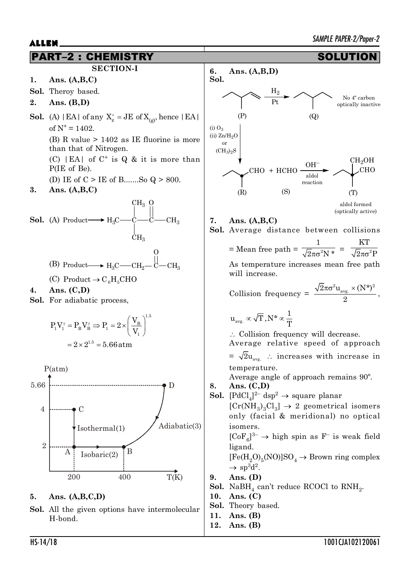

**12. Ans. (B)**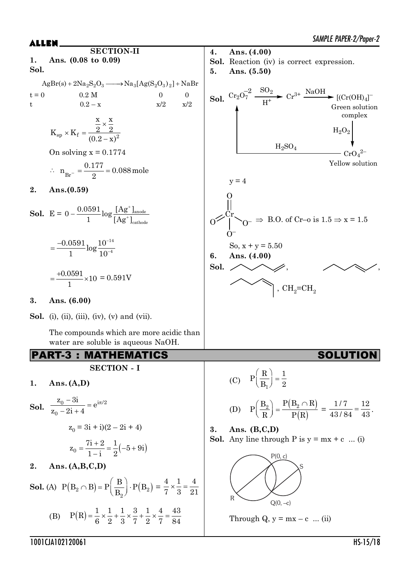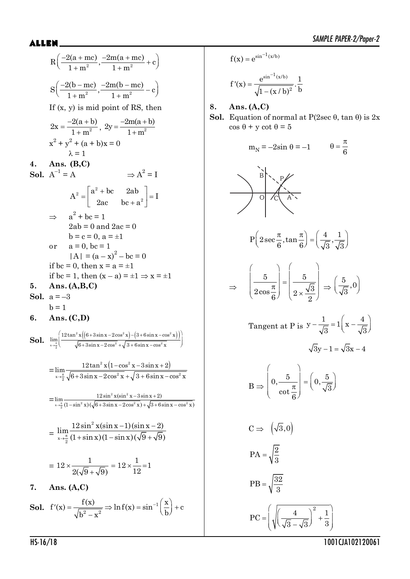$\left(\frac{-2(a + mc)}{1 + m^2}, \frac{-2m(a + mc)}{1 + m^2} + c\right)$  $R\left(\frac{-2(a+mc)}{a}, \frac{-2m(a+mc)}{a} + c\right)$  $1+m^2$   $1+m$  $\left(\frac{-2(b-mc)}{1+m^2}, \frac{-2m(b-mc)}{1+m^2}-c\right)$  $S\left(\frac{-2(b-mc)}{2},\frac{-2m(b-mc)}{2}-c\right)$  $1+m^2$  1 + m If (x, y) is mid point of RS, then  $=\frac{-2(a+1)}{x^2}$  $2x = \frac{-2(a + b)}{1 + m^2}$  $\frac{2(x+y)}{1+m^2}$ ,  $2y = \frac{2m(x+y)}{1+m^2}$  $2y = \frac{-2m(a + b)}{a}$  $1 + m$  $=\frac{-2m(a+l)}{2}$  $^{+}$  $x^{2} + y^{2} + (a + b)x = 0$  $\lambda = 1$ **4. Ans. (B,C) Sol.**  $A^{-1} = A$  $^{-1} = A$   $\Rightarrow A^2 = I$  $|a^2 + bc \t 2ab|$  $=\begin{bmatrix} 2a & b^2 & b^2 \\ 2ac & bc + a^2 \end{bmatrix}$  $_2$   $\sqrt{\phantom{a}}\, {\rm a}^2$  $A^2 = \begin{vmatrix} a^2 + bc & 2ab \\ 2ac & bc + a^2 \end{vmatrix} = I$  $2ac$  bc + a  $\Rightarrow$  a<sup>2</sup> + bc = 1  $2ab = 0$  and  $2ac = 0$  $b = c = 0, a = \pm 1$ or  $a = 0$ , bc = 1  $|A| = (a - x)^2 - bc = 0$ if bc = 0, then  $x = a = \pm 1$ if bc = 1, then  $(x - a) = \pm 1 \Rightarrow x = \pm 1$ **5. Ans. (A,B,C) Sol.**  $a = -3$  $h = 1$ **6. Ans. (C,D) Sol.**  $\lim_{\pi \to 0} \frac{\left[ 12 \tan^2 x \left( \left( 6 + 3 \sin x - 2 \cos^2 x \right) - \left( 3 + 6 \sin x - \cos^2 x \right) \right) \right]}{\left[ 6 + 3 \sin x - 9 + \cos^2 x \right] \left[ 3 + 6 \sin x - \cos^2 x \right]}$  $x \rightarrow \frac{\pi}{2}$   $\sqrt{6+3\sin x-2\cos^2 x} + \sqrt{3+6\sin x - \cos^2 x}$  $\lim_{x\to\frac{\pi}{6}}\left(\frac{12\tan^2 x \left((6+3\sin x-2\cos^2 x)-(3+6\sin x-\cos^2 x)\right)}{\sqrt{6+3\sin x-2\cos^2 x}+\sqrt{3+6\sin x-\cos^2 x}}\right)$  $\sqrt{6+3\sin x-2\cos^2 x}$   $\sqrt{3+6\sin x-\cos^2 x}$   $\sqrt{9+3\sin x-\cos^2 x}$  $=\lim_{x\to 0} \frac{12\tan^2 x(1-\cos^2 x-3\sin x+2)}{\sqrt{2(1-\cos^2 x-3\sin x+2)}}$  $x\rightarrow\frac{\pi}{2}\sqrt{6}+3\sin x-2\cos^2 x+\sqrt{3+6\sin x-\cos^2 x}$  $\lim \frac{12\tan^2 x (1-\cos^2 x - 3\sin x + 2)}{x}$  $\frac{\pi}{2}$   $\sqrt{6} + 3\sin x - 2\cos^2 x + \sqrt{3} + 6\sin x - \cos^2 x$  $-\cos^2 x - 3\sin x + 2$  $+3\sin x - 2\cos^2 x + \sqrt{3} + 6\sin x - c$  $=\lim_{x \to \infty} \frac{12\sin^2 x(\sin^2 x)}{x^2(\sin x)^2}$  $x \rightarrow \frac{\pi}{2} (1 - \sin^2 x) (\sqrt{6} + 3 \sin x - 2 \cos^2 x) + \sqrt{3 + 6 \sin x - \cos^2 x}$  $\lim_{x \to \frac{\pi}{6}} \frac{12 \sin^2 x (\sin^2 x - 3 \sin x + 2)}{(1 - \sin^2 x)(\sqrt{6 + 3 \sin x - 2 \cos^2 x}) + \sqrt{3 + 6 \sin x - \cos^2 x}}$  $-3\sin x+2$  $-\sin^2 x$ )( $\sqrt{6}$ +3sin x -2cos<sup>2</sup> x)+ $\sqrt{3}$ +6sin x -0 = 2  $x \rightarrow \frac{\pi}{2}$  $\lim \frac{12\sin^2 x(\sin x - 1)(\sin x - 2)}{\sqrt{2}}$  $\rightarrow \frac{\pi}{6} (1 + \sin x)(1 - \sin x)(\sqrt{9} + \sqrt{9})$  $-1$ )(sin x - 2  $+\sin x(1-\sin x)(\sqrt{9}+\sqrt{9})$  $= 12 \times \frac{1}{\sqrt{2} \sqrt{2}} = 12 \times \frac{1}{12} = 1$  $2(\sqrt{9}+\sqrt{9})$  12  $x \frac{1}{\sqrt{1-x^2}} = 12 \times \frac{1}{10} =$  $\ddot{}$ **7. Ans. (A,C) Sol.**  $f'(x) = \frac{f(x)}{\sqrt{h^2 - x^2}} \Rightarrow \ln f(x) = \sin^{-1} \left(\frac{x}{h}\right) + c$  $b'(x) = \frac{f(x)}{\sqrt{b^2 - x^2}} \Rightarrow \ln f(x) = \sin^{-1}\left(\frac{x}{b}\right) +$ 

$$
f(x) = e^{\sin^{-1}(x/b)}
$$

$$
f'(x) = \frac{e^{\sin^{-1}(x/b)}}{\sqrt{1 - (x/b)^2}} \cdot \frac{1}{b}
$$

**8. Ans. (A,C)**

**Sol.** Equation of normal at  $P(2\sec \theta, \tan \theta)$  is 2x  $\cos \theta + y \cot \theta = 5$ 

$$
m_N = -2\sin\theta = -1 \qquad \theta = \frac{\pi}{6}
$$

# B P  $O$  /c A

$$
P\left(2\sec\frac{\pi}{6}, \tan\frac{\pi}{6}\right) = \left(\frac{4}{\sqrt{3}}, \frac{1}{\sqrt{3}}\right)
$$

$$
\Rightarrow \left(\frac{5}{2\cos\frac{\pi}{6}}\right) = \left(\frac{5}{2\times\frac{\sqrt{3}}{2}}\right) \Rightarrow \left(\frac{5}{\sqrt{3}}, 0\right)
$$

Tangent at P is 
$$
y - \frac{1}{\sqrt{3}} = 1\left(x - \frac{4}{\sqrt{3}}\right)
$$
  
 $\sqrt{3}y - 1 = \sqrt{3}x - 4$ 

$$
B \Rightarrow \left(0, \frac{5}{\cot \frac{\pi}{6}}\right) = \left(0, \frac{5}{\sqrt{3}}\right)
$$

$$
C \Rightarrow \left(\sqrt{3}, 0\right)
$$

$$
PA = \sqrt{\frac{2}{3}}
$$

$$
PB = \sqrt{\frac{32}{3}}
$$

$$
PC = \left(\sqrt{\left(\frac{4}{\sqrt{3} - \sqrt{3}}\right)^2 + \frac{1}{3}}\right)
$$

HS-16/18 1001CJA102120061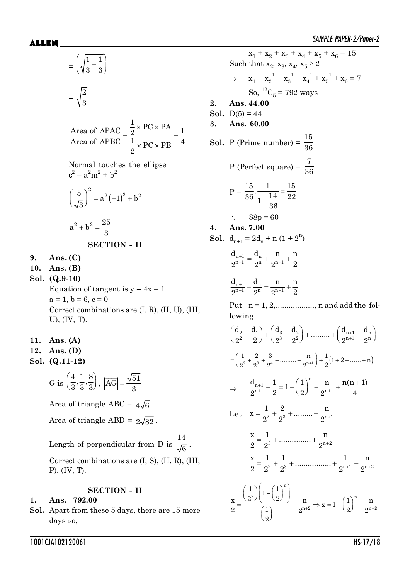**9. Ans. (C)**  $10.$  $Sol.$ 

**11. Ans. (A) 12. Sol. (Q.11-12)**

$$
= \left(\sqrt{\frac{1}{3} + \frac{1}{3}}\right)
$$
  
\n
$$
= \sqrt{\frac{2}{3}}
$$
  
\n
$$
\frac{\text{Area of } \triangle PAC}{\text{Area of } \triangle PBC} = \frac{\frac{1}{2} \times PC \times PA}{\frac{1}{2} \times PC \times PB} = \frac{1}{4}
$$
  
\nNormal touches the ellipse  
\n
$$
c^2 = a^2m^2 + b^2
$$
  
\n
$$
\left(\frac{5}{\sqrt{3}}\right)^2 = a^2(-1)^2 + b^2
$$
  
\n
$$
a^2 + b^2 = \frac{25}{3}
$$
  
\n**SECTION - II**  
\n9. Ans. (C)  
\n10. Ans. (B)  
\nSol. (Q.9-10)  
\nEquation of tangent is  $y = 4x - 1$   
\n $a = 1, b = 6, c = 0$   
\nCorrect combinations are (I, R), (II, U), (III, U), (IV, T).  
\n11. Ans. (A)  
\n12. Ans. (D)  
\nSol. (Q.11-12)  
\n
$$
G \text{ is } \left(\frac{4}{3}, \frac{1}{3}, \frac{8}{3}\right), |\overline{AG}| = \frac{\sqrt{51}}{3}
$$
  
\nArea of triangle ABC =  $4\sqrt{6}$   
\nArea of triangle ABD =  $2\sqrt{82}$ .  
\nLength of perpendicular from D is  $\frac{14}{\sqrt{6}}$ .  
\nCorrect combinations are (I, S), (II, R), (III, P), (IV, T).  
\n**SECTION - II**  
\n1. Ans. 792.00  
\nSol. Apart from these 5 days, there are 15 more

 $ALLEN$   $\qquad \qquad$   $\qquad \qquad$   $\qquad \qquad$   $\qquad \qquad$   $\qquad \qquad$   $\qquad \qquad$   $\qquad \qquad$   $\qquad \qquad$   $\qquad \qquad$   $\qquad \qquad$   $\qquad \qquad$   $\qquad \qquad$   $\qquad \qquad$   $\qquad \qquad$   $\qquad \qquad$   $\qquad \qquad$   $\qquad \qquad$   $\qquad \qquad$   $\qquad \qquad$   $\qquad \qquad$   $\qquad \qquad$   $\qquad \qquad$   $\qquad \qquad$   $\qquad \qquad$   $x_1 + x_2 + x_3 + x_4 + x_5 + x_6 = 15$ Such that  $x_2$ ,  $x_3$ ,  $x_4$ ,  $x_5 \ge 2$  $\Rightarrow$   $x_1 + x_2^1 + x_3^1 + x_4^1 + x_5^1 + x_6 = 7$ So,  ${}^{12}C_5 = 792$  ways **2. Ans. 44.00 Sol.**  $D(5) = 44$ **3. Ans. 60.00 Sol.** P (Prime number) = 15 36 P (Perfect square) = 7 36  $P =$  $\overline{a}$  $\frac{15}{36} \cdot \frac{1}{1 - \frac{14}{36}} = \frac{15}{22}$ 36  $88p = 60$ **4. Ans. 7.00 Sol.**  $d_{n+1} = 2d_n + n(1 + 2^n)$  $\overline{+}$  $\frac{n+1}{n+1} = \frac{u_n}{2^n} + \frac{u_n}{2^{n+1}} + \frac{1}{2^n}$  $d_{n+1}$   $d_n$  n n  $2^{n+1}$   $2^{n}$   $2^{n+1}$  2  $\overline{+}$  $\frac{n+1}{n+1} - \frac{u_n}{2^n} = \frac{n}{2^{n+1}} +$  $d_{n+1}$   $d_n$  n n  $2^{n+1}$   $2^n$   $2^{n+1}$  2 Put  $n = 1, 2, \ldots, n$  and add the following  $\overline{+}$  $\overline{+}$  $\left(\frac{d_2}{2^2} - \frac{d_1}{2}\right) + \left(\frac{d_3}{2^3} - \frac{d_2}{2^2}\right) + \dots + \left(\frac{d_{n+1}}{2^{n+1}} - \frac{d_n}{2^n}\right)$ 2  $2 \sqrt{1 + 2^2 + 3^2 + 3^2 + 3^2 + 4^2}$  $\left(\frac{d_2}{2}, -\frac{d_1}{2}\right) + \left(\frac{d_3}{2}, -\frac{d_2}{2}\right) + \dots + \left(\frac{d_{n+1}}{2n+1}\right) - \frac{d_2}{2n+1}$  $2^2$  2  $\binom{2^3}{2^3}$   $2^2$   $\binom{2^{n+1}}{2^n}$  2  $=\left(\frac{1}{2^2}+\frac{2}{2^3}+\frac{3}{2^4}+\dots+\frac{n}{2^{n+1}}\right)+\frac{1}{2}(1+2+\dots+ n)$  $\Rightarrow \frac{u_{n+1}}{2n+1}$  $+1$   $2^{n+1}$   $2^{n+1}$  $-\frac{1}{2}$  = 1 -  $\left(\frac{1}{2}\right)^n$  -  $\frac{n}{2^{n+1}}$  +  $\frac{n(n+1)}{4}$ n  $n+1$  $\frac{d_{n+1}}{2^{n+1}} - \frac{1}{2} = 1 - \left(\frac{1}{2}\right)^n - \frac{n}{2^{n+1}} + \frac{n(n+1)}{4}$  $2^{n+1}$  2  $\left(2\right)$   $2^{n+1}$  4 Let  $x = \frac{1}{2^2} + \frac{2}{2^3} + \dots + \frac{n}{2^{n+1}}$  $2^2$   $2^3$  2  $\frac{x}{2} = \frac{1}{2^3} + \dots + \frac{n}{2^{n+2}}$ 2  $2^3$  2 2  $\frac{x}{2^0} = \frac{1}{2^2} + \frac{1}{2^3} + \dots + \frac{1}{2^{n+1}} - \frac{n}{2^{n+2}}$ 2  $2^2$   $2^3$  2<sup>n+1</sup> 2  $+2 \rightarrow \mathbb{A}^{-1}$  (9)  $\Omega^{n+2}$  $\left(\frac{1}{2^2}\right)\left(1-\left(\frac{1}{2}\right)^n\right)$  $\left(2^{2}\right)^{2}$   $\left(2\right)$  n  $\left(1\right)^{n}$  $= \frac{1}{\left(\frac{1}{2}\right)} - \frac{1}{2^{n+2}} \Rightarrow x = 1 - \left(\frac{1}{2}\right) - \frac{1}{2}$ n  $2 \left| \begin{array}{cc} 1 & 1 \\ 0 & 1 \end{array} \right|$   $\left| \begin{array}{cc} 2 & 1 \\ 0 & 1 \end{array} \right|$  $n+2 \rightarrow \lambda - 1$  (  $\Omega$ )  $\Omega$  n+2  $\frac{1}{2}$  $\left| \frac{1}{1} - \left( \frac{1}{2} \right) \right|$  $\frac{x}{2} = \frac{(2^2)^{2^2} (2)}{(2^2)^{2^2}} - \frac{n}{2^n} \Rightarrow x = 1 - (\frac{1}{2})^n - \frac{n}{2^n}$ 2  $(1)$   $2^{n+2}$   $2^{n+2}$   $(2)$  2 2

days so,